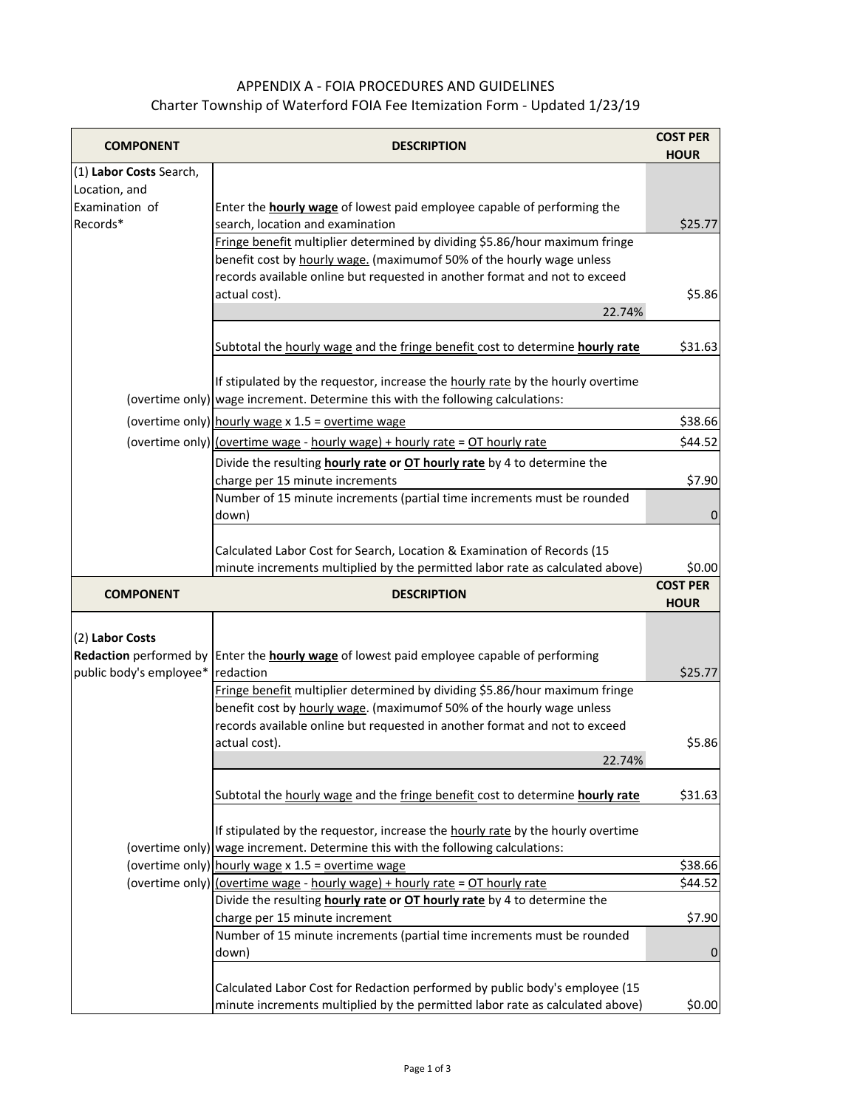## APPENDIX A - FOIA PROCEDURES AND GUIDELINES Charter Township of Waterford FOIA Fee Itemization Form - Updated 1/23/19

| <b>COMPONENT</b>        | <b>DESCRIPTION</b>                                                                                                                                           | <b>COST PER</b>   |
|-------------------------|--------------------------------------------------------------------------------------------------------------------------------------------------------------|-------------------|
|                         |                                                                                                                                                              | <b>HOUR</b>       |
| (1) Labor Costs Search, |                                                                                                                                                              |                   |
| Location, and           |                                                                                                                                                              |                   |
| Examination of          | Enter the <b>hourly wage</b> of lowest paid employee capable of performing the                                                                               |                   |
| Records*                | search, location and examination                                                                                                                             | \$25.77           |
|                         | Fringe benefit multiplier determined by dividing \$5.86/hour maximum fringe                                                                                  |                   |
|                         | benefit cost by hourly wage. (maximumof 50% of the hourly wage unless                                                                                        |                   |
|                         | records available online but requested in another format and not to exceed                                                                                   |                   |
|                         | actual cost).                                                                                                                                                | \$5.86            |
|                         | 22.74%                                                                                                                                                       |                   |
|                         | Subtotal the hourly wage and the fringe benefit cost to determine hourly rate                                                                                | \$31.63           |
|                         |                                                                                                                                                              |                   |
|                         | If stipulated by the requestor, increase the hourly rate by the hourly overtime                                                                              |                   |
|                         | (overtime only) wage increment. Determine this with the following calculations:                                                                              |                   |
|                         | (overtime only) hourly wage x 1.5 = overtime wage                                                                                                            | \$38.66           |
|                         | (overtime only) (overtime wage - hourly wage) + hourly rate = OT hourly rate                                                                                 | \$44.52           |
|                         | Divide the resulting hourly rate or OT hourly rate by 4 to determine the                                                                                     |                   |
|                         | charge per 15 minute increments                                                                                                                              | \$7.90            |
|                         | Number of 15 minute increments (partial time increments must be rounded                                                                                      |                   |
|                         | down)                                                                                                                                                        | 0                 |
|                         |                                                                                                                                                              |                   |
|                         | Calculated Labor Cost for Search, Location & Examination of Records (15                                                                                      |                   |
|                         | minute increments multiplied by the permitted labor rate as calculated above)                                                                                | \$0.00            |
|                         |                                                                                                                                                              | <b>COST PER</b>   |
| <b>COMPONENT</b>        | <b>DESCRIPTION</b>                                                                                                                                           | <b>HOUR</b>       |
|                         |                                                                                                                                                              |                   |
| (2) Labor Costs         |                                                                                                                                                              |                   |
| Redaction performed by  | Enter the <b>hourly wage</b> of lowest paid employee capable of performing                                                                                   |                   |
| public body's employee* | redaction                                                                                                                                                    | \$25.77           |
|                         | Fringe benefit multiplier determined by dividing \$5.86/hour maximum fringe                                                                                  |                   |
|                         | benefit cost by hourly wage. (maximumof 50% of the hourly wage unless                                                                                        |                   |
|                         | records available online but requested in another format and not to exceed                                                                                   |                   |
|                         | actual cost).                                                                                                                                                | \$5.86            |
|                         | 22.74%                                                                                                                                                       |                   |
|                         |                                                                                                                                                              |                   |
|                         |                                                                                                                                                              | \$31.63           |
|                         | Subtotal the hourly wage and the fringe benefit cost to determine hourly rate                                                                                |                   |
|                         |                                                                                                                                                              |                   |
|                         | If stipulated by the requestor, increase the hourly rate by the hourly overtime                                                                              |                   |
|                         | (overtime only) wage increment. Determine this with the following calculations:                                                                              |                   |
|                         | (overtime only) hourly wage $x$ 1.5 = overtime wage                                                                                                          |                   |
|                         | (overtime only) (overtime wage - hourly wage) + hourly rate = OT hourly rate                                                                                 | \$44.52           |
|                         | Divide the resulting hourly rate or OT hourly rate by 4 to determine the                                                                                     |                   |
|                         | charge per 15 minute increment                                                                                                                               | \$38.66<br>\$7.90 |
|                         | Number of 15 minute increments (partial time increments must be rounded                                                                                      |                   |
|                         | down)                                                                                                                                                        | 0                 |
|                         |                                                                                                                                                              |                   |
|                         | Calculated Labor Cost for Redaction performed by public body's employee (15<br>minute increments multiplied by the permitted labor rate as calculated above) | \$0.00            |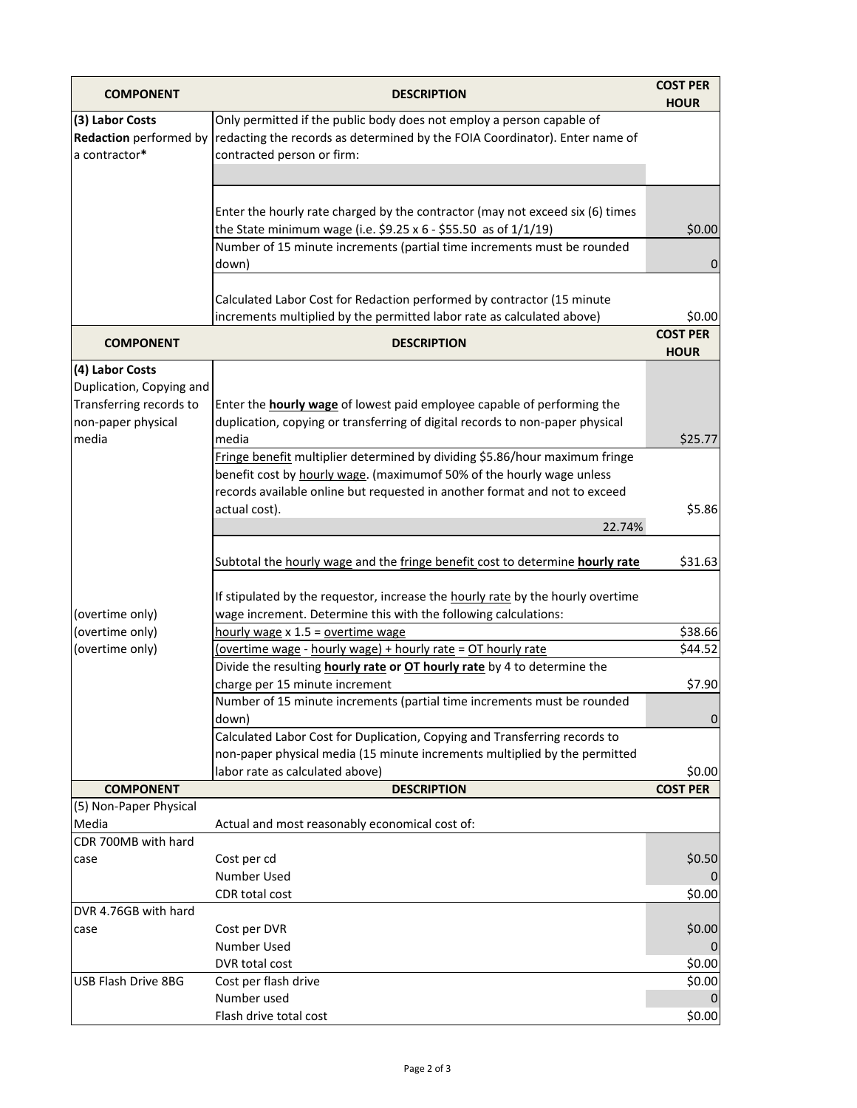| <b>COMPONENT</b>                                           | <b>DESCRIPTION</b>                                                                                                                                                                 | <b>COST PER</b><br><b>HOUR</b> |
|------------------------------------------------------------|------------------------------------------------------------------------------------------------------------------------------------------------------------------------------------|--------------------------------|
| (3) Labor Costs<br>Redaction performed by<br>a contractor* | Only permitted if the public body does not employ a person capable of<br>redacting the records as determined by the FOIA Coordinator). Enter name of<br>contracted person or firm: |                                |
|                                                            |                                                                                                                                                                                    |                                |
|                                                            | Enter the hourly rate charged by the contractor (may not exceed six (6) times<br>the State minimum wage (i.e. \$9.25 x 6 - \$55.50 as of $1/1/19$ )                                | \$0.00                         |
|                                                            | Number of 15 minute increments (partial time increments must be rounded<br>down)                                                                                                   | 0                              |
|                                                            | Calculated Labor Cost for Redaction performed by contractor (15 minute<br>increments multiplied by the permitted labor rate as calculated above)                                   | \$0.00                         |
| <b>COMPONENT</b>                                           | <b>DESCRIPTION</b>                                                                                                                                                                 | <b>COST PER</b><br><b>HOUR</b> |
| (4) Labor Costs                                            |                                                                                                                                                                                    |                                |
| Duplication, Copying and                                   |                                                                                                                                                                                    |                                |
| Transferring records to<br>non-paper physical              | Enter the <b>hourly wage</b> of lowest paid employee capable of performing the<br>duplication, copying or transferring of digital records to non-paper physical                    |                                |
| media                                                      | media                                                                                                                                                                              | \$25.77                        |
|                                                            | Fringe benefit multiplier determined by dividing \$5.86/hour maximum fringe                                                                                                        |                                |
|                                                            | benefit cost by hourly wage. (maximumof 50% of the hourly wage unless                                                                                                              |                                |
|                                                            | records available online but requested in another format and not to exceed                                                                                                         |                                |
|                                                            | actual cost).                                                                                                                                                                      | \$5.86                         |
|                                                            | 22.74%                                                                                                                                                                             |                                |
|                                                            | Subtotal the hourly wage and the fringe benefit cost to determine hourly rate                                                                                                      | \$31.63                        |
| (overtime only)                                            | If stipulated by the requestor, increase the hourly rate by the hourly overtime<br>wage increment. Determine this with the following calculations:                                 |                                |
| (overtime only)                                            | hourly wage $x 1.5$ = overtime wage                                                                                                                                                | \$38.66                        |
| (overtime only)                                            | (overtime wage - hourly wage) + hourly rate = OT hourly rate                                                                                                                       | \$44.52                        |
|                                                            | Divide the resulting hourly rate or OT hourly rate by 4 to determine the                                                                                                           |                                |
|                                                            | charge per 15 minute increment                                                                                                                                                     | \$7.90                         |
|                                                            | Number of 15 minute increments (partial time increments must be rounded                                                                                                            | $\mathbf{0}$                   |
|                                                            | down)<br>Calculated Labor Cost for Duplication, Copying and Transferring records to                                                                                                |                                |
|                                                            | non-paper physical media (15 minute increments multiplied by the permitted                                                                                                         |                                |
|                                                            | labor rate as calculated above)                                                                                                                                                    | \$0.00                         |
| <b>COMPONENT</b>                                           | <b>DESCRIPTION</b>                                                                                                                                                                 | <b>COST PER</b>                |
| (5) Non-Paper Physical                                     |                                                                                                                                                                                    |                                |
| Media                                                      | Actual and most reasonably economical cost of:                                                                                                                                     |                                |
| CDR 700MB with hard                                        |                                                                                                                                                                                    |                                |
| case                                                       | Cost per cd<br>Number Used                                                                                                                                                         | \$0.50<br>0                    |
|                                                            | CDR total cost                                                                                                                                                                     | \$0.00                         |
| DVR 4.76GB with hard                                       |                                                                                                                                                                                    |                                |
| case                                                       | Cost per DVR                                                                                                                                                                       | \$0.00                         |
|                                                            | Number Used                                                                                                                                                                        |                                |
|                                                            | DVR total cost                                                                                                                                                                     | \$0.00                         |
| USB Flash Drive 8BG                                        | Cost per flash drive                                                                                                                                                               | \$0.00                         |
|                                                            | Number used                                                                                                                                                                        | $\Omega$                       |
|                                                            | Flash drive total cost                                                                                                                                                             | \$0.00                         |